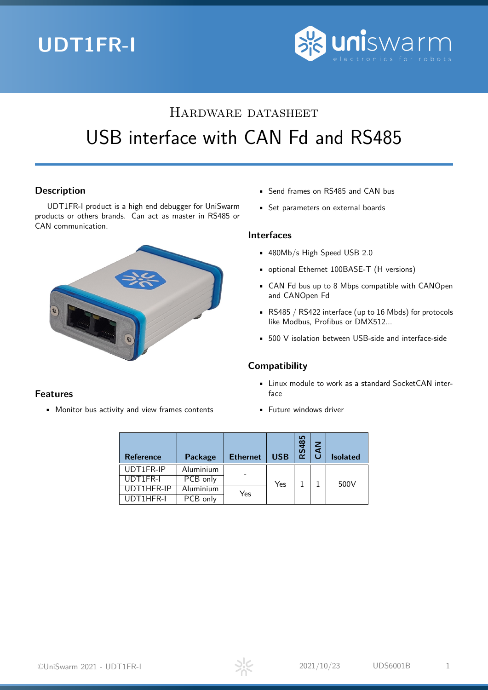# **UDT1FR-I**



# Hardware datasheet USB interface with CAN Fd and RS485

## **Description**

UDT1FR-I product is a high end debugger for UniSwarm products or others brands. Can act as master in RS485 or CAN communication.



## **Features**

• Monitor bus activity and view frames contents

- Send frames on RS485 and CAN bus
- Set parameters on external boards

### **Interfaces**

- 480Mb/s High Speed USB 2.0
- optional Ethernet 100BASE-T (H versions)
- CAN Fd bus up to 8 Mbps compatible with CANOpen and CANOpen Fd
- RS485 / RS422 interface (up to 16 Mbds) for protocols like Modbus, Profibus or DMX512...
- 500 V isolation between USB-side and interface-side

## **Compatibility**

- Linux module to work as a standard SocketCAN interface
- Future windows driver

| <b>Reference</b>     | Package     | <b>Ethernet</b> | <b>USB</b> | RS485 | $\leq$ | <b>Isolated</b> |
|----------------------|-------------|-----------------|------------|-------|--------|-----------------|
| UDT1FR-IP            | Aluminium   |                 |            |       |        |                 |
| UDT1FR-I             | PCB only    |                 | Yes        |       |        | 500V            |
| UDT1HFR-IP           | Aluminium   | Yes             |            |       |        |                 |
| $\overline{INT1HFR}$ | PCB<br>only |                 |            |       |        |                 |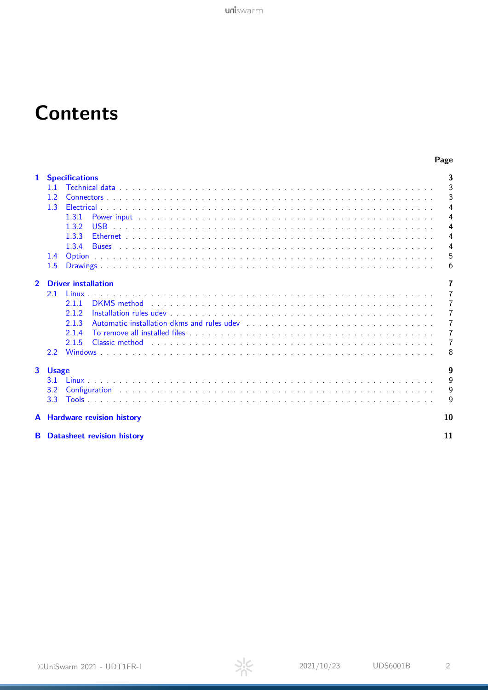# **Contents**

|  | ×<br>. . | ۰. |
|--|----------|----|

| $\mathbf{1}$   | <b>Specifications</b>                                                                                                                                                                                                                     | 3            |
|----------------|-------------------------------------------------------------------------------------------------------------------------------------------------------------------------------------------------------------------------------------------|--------------|
|                |                                                                                                                                                                                                                                           | 3            |
|                |                                                                                                                                                                                                                                           | 3            |
|                | 1.3                                                                                                                                                                                                                                       | 4            |
|                | 1.3.1                                                                                                                                                                                                                                     | 4            |
|                | 1.3.2                                                                                                                                                                                                                                     | 4            |
|                | 1.3.3                                                                                                                                                                                                                                     | 4            |
|                | 1.3.4<br><u>. Die besteht die besteht die besteht die besteht die besteht die besteht die besteht die besteht die besteht</u><br><b>Buses</b>                                                                                             | 4            |
|                | 1.4                                                                                                                                                                                                                                       | 5            |
|                | 1.5                                                                                                                                                                                                                                       | 6            |
|                |                                                                                                                                                                                                                                           |              |
| $\overline{2}$ | <b>Driver installation</b>                                                                                                                                                                                                                | 7            |
|                | 2.1<br><b>Linux</b>                                                                                                                                                                                                                       | 7            |
|                | DKMS method<br>2.1.1                                                                                                                                                                                                                      | 7            |
|                | 2.1.2                                                                                                                                                                                                                                     | 7            |
|                | Automatic installation dkms and rules udev<br>and the contract of the contract of the contract of the state of the state of the state of the contract of the state of the state of the state of the state of the state of the st<br>2.1.3 | 7            |
|                | 2.1.4                                                                                                                                                                                                                                     | 7            |
|                | Classic method entitled and a subsequently subsequently and a subsequently subsequently subsequently subsequently subsequently subsequently subsequently subsequently subsequently subsequently subsequently subsequently subs<br>2.1.5   | 7            |
|                | $2.2^{\circ}$                                                                                                                                                                                                                             | 8            |
|                | 3 Usage                                                                                                                                                                                                                                   | 9            |
|                | 3.1                                                                                                                                                                                                                                       | $\mathsf{Q}$ |
|                | 3.2                                                                                                                                                                                                                                       | 9            |
|                | 3.3                                                                                                                                                                                                                                       | 9            |
|                | A Hardware revision history                                                                                                                                                                                                               | 10           |
|                | <b>B</b> Datasheet revision history                                                                                                                                                                                                       | 11           |

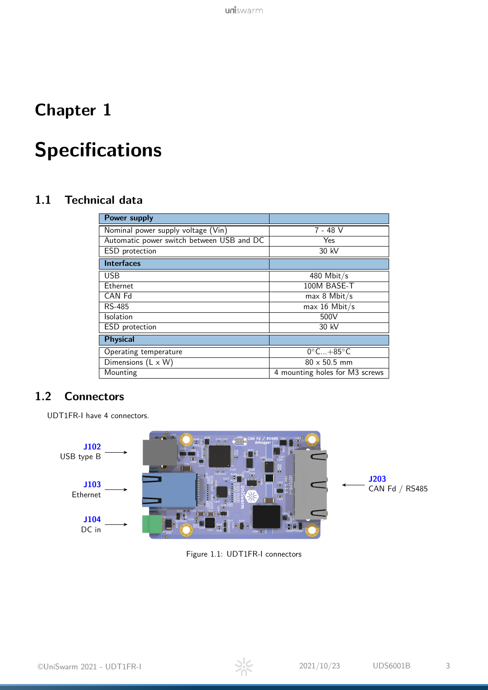## <span id="page-2-0"></span>**Chapter 1**

# **Specifications**

## <span id="page-2-1"></span>**1.1 Technical data**

| <b>Power supply</b>                           |                                |  |
|-----------------------------------------------|--------------------------------|--|
| Nominal power supply voltage (Vin)            | 7 - 48 V                       |  |
| Automatic power switch between USB and DC     | Yes                            |  |
| ESD protection                                | 30 kV                          |  |
| <b>Interfaces</b>                             |                                |  |
| <b>USB</b>                                    | 480 Mbit/s                     |  |
| <b>Ethernet</b>                               | 100M BASE-T                    |  |
| CAN Fd                                        | $max 8$ Mbit/s                 |  |
| RS-485                                        | $max 16$ Mbit/s                |  |
| <b>Isolation</b>                              | 500V                           |  |
| ESD protection                                | 30 kV                          |  |
| <b>Physical</b>                               |                                |  |
| Operating temperature                         | $0^{\circ}$ C $+85^{\circ}$ C  |  |
| $\overline{\text{Dimensions}}$ (L $\times$ W) | $80 \times 50.5$ mm            |  |
| Mounting                                      | 4 mounting holes for M3 screws |  |

## <span id="page-2-2"></span>**1.2 Connectors**

UDT1FR-I have 4 connectors.



Figure 1.1: UDT1FR-I connectors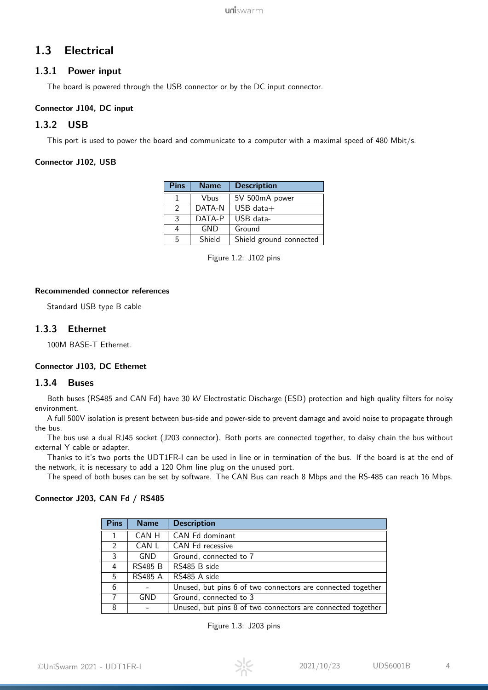## <span id="page-3-0"></span>**1.3 Electrical**

### <span id="page-3-1"></span>**1.3.1 Power input**

The board is powered through the USB connector or by the DC input connector.

### <span id="page-3-8"></span>**Connector J104, DC input**

### <span id="page-3-2"></span>**1.3.2 USB**

This port is used to power the board and communicate to a computer with a maximal speed of 480 Mbit/s.

#### <span id="page-3-6"></span>**Connector J102, USB**

| <b>Pins</b>   | <b>Description</b><br><b>Name</b> |                         |
|---------------|-----------------------------------|-------------------------|
|               | Vbus                              | 5V 500mA power          |
| $\mathcal{P}$ | DATA-N                            | $USB$ data $+$          |
| 3             | DATA-P                            | USB data-               |
|               | GND                               | Ground                  |
| 5             | Shield                            | Shield ground connected |

Figure 1.2: J102 pins

#### **Recommended connector references**

Standard USB type B cable

### <span id="page-3-3"></span>**1.3.3 Ethernet**

100M BASE-T Ethernet.

### <span id="page-3-7"></span>**Connector J103, DC Ethernet**

### <span id="page-3-4"></span>**1.3.4 Buses**

Both buses (RS485 and CAN Fd) have 30 kV Electrostatic Discharge (ESD) protection and high quality filters for noisy environment.

A full 500V isolation is present between bus-side and power-side to prevent damage and avoid noise to propagate through the bus.

The bus use a dual RJ45 socket (J203 connector). Both ports are connected together, to daisy chain the bus without external Y cable or adapter.

Thanks to it's two ports the UDT1FR-I can be used in line or in termination of the bus. If the board is at the end of the network, it is necessary to add a 120 Ohm line plug on the unused port.

The speed of both buses can be set by software. The CAN Bus can reach 8 Mbps and the RS-485 can reach 16 Mbps.

### <span id="page-3-5"></span>**Connector J203, CAN Fd / RS485**

| <b>Pins</b> | <b>Name</b>    | <b>Description</b>                                          |  |
|-------------|----------------|-------------------------------------------------------------|--|
|             | CAN H          | CAN Fd dominant                                             |  |
| 2           | CAN L          | CAN Fd recessive                                            |  |
| 3           | <b>GND</b>     | Ground, connected to 7                                      |  |
| 4           | <b>RS485 B</b> | RS485 B side                                                |  |
| 5           | <b>RS485 A</b> | RS485 A side                                                |  |
| 6           |                | Unused, but pins 6 of two connectors are connected together |  |
|             | GND            | Ground, connected to 3                                      |  |
| 8           |                | Unused, but pins 8 of two connectors are connected together |  |

Figure 1.3: J203 pins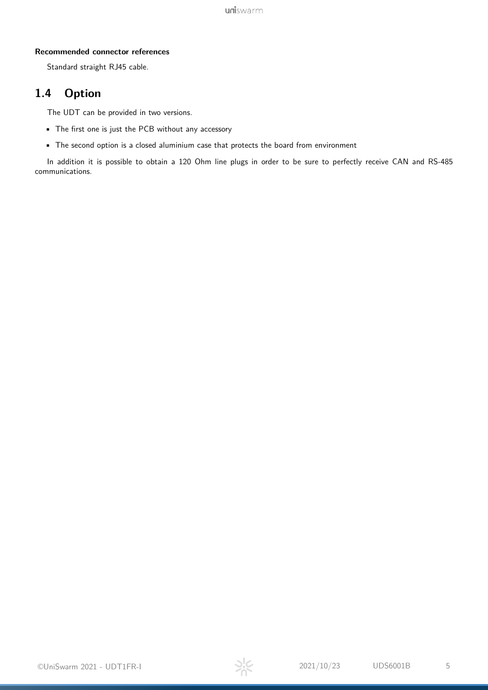### **Recommended connector references**

Standard straight RJ45 cable.

## <span id="page-4-0"></span>**1.4 Option**

The UDT can be provided in two versions.

- The first one is just the PCB without any accessory
- The second option is a closed aluminium case that protects the board from environment

In addition it is possible to obtain a 120 Ohm line plugs in order to be sure to perfectly receive CAN and RS-485 communications.

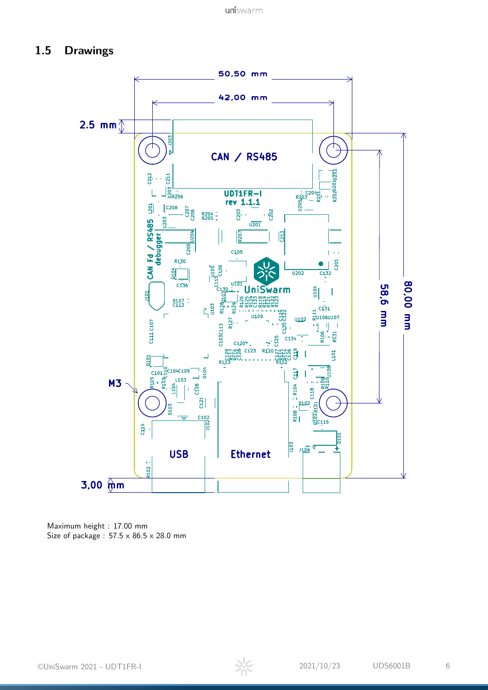## <span id="page-5-0"></span>**1.5 Drawings**



Maximum height : 17.00 mm Size of package :  $57.5 \times 86.5 \times 28.0$  mm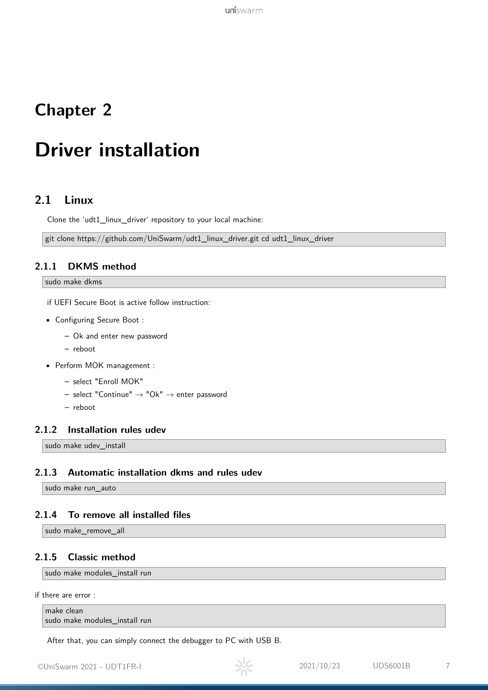## <span id="page-6-0"></span>**Chapter 2**

# **Driver installation**

## <span id="page-6-1"></span>**2.1 Linux**

Clone the 'udt1\_linux\_driver' repository to your local machine:

git clone https://github.com/UniSwarm/udt1\_linux\_driver.git cd udt1\_linux\_driver

## <span id="page-6-2"></span>**2.1.1 DKMS method**

#### sudo make dkms

if UEFI Secure Boot is active follow instruction:

- Configuring Secure Boot :
	- **–** Ok and enter new password
	- **–** reboot
- Perform MOK management :
	- **–** select "Enroll MOK"
	- **–** select "Continue" → "Ok" → enter password
	- **–** reboot

### <span id="page-6-3"></span>**2.1.2 Installation rules udev**

sudo make udev install

### <span id="page-6-4"></span>**2.1.3 Automatic installation dkms and rules udev**

sudo make run\_auto

## <span id="page-6-5"></span>**2.1.4 To remove all installed files**

sudo make\_remove\_all

### <span id="page-6-6"></span>**2.1.5 Classic method**

sudo make modules\_install run

if there are error :

```
make clean
sudo make modules_install run
```
After that, you can simply connect the debugger to PC with USB B.

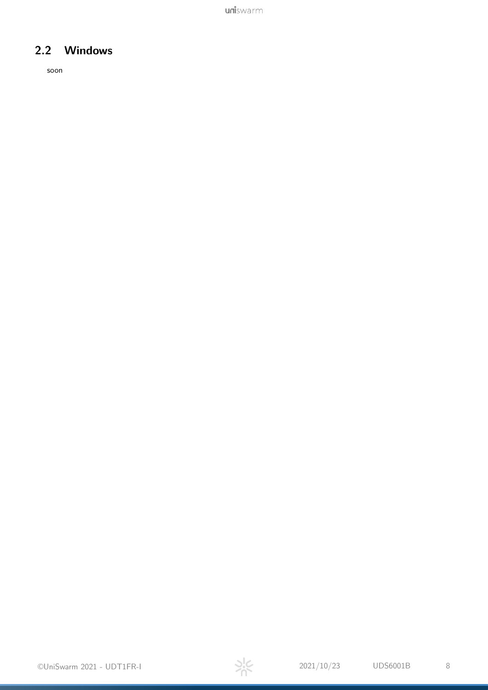uniswarm

## <span id="page-7-0"></span>**2.2 Windows**

soon

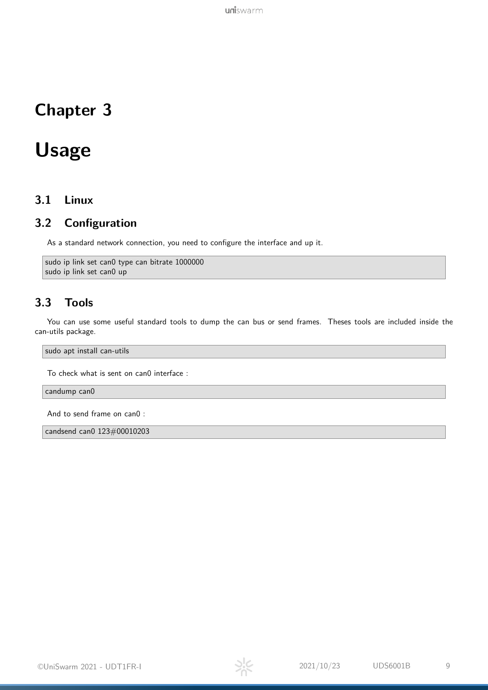## <span id="page-8-0"></span>**Chapter 3**

## **Usage**

## <span id="page-8-1"></span>**3.1 Linux**

## <span id="page-8-2"></span>**3.2 Configuration**

As a standard network connection, you need to configure the interface and up it.

```
sudo ip link set can0 type can bitrate 1000000
sudo ip link set can0 up
```
## <span id="page-8-3"></span>**3.3 Tools**

You can use some useful standard tools to dump the can bus or send frames. Theses tools are included inside the can-utils package.

sudo apt install can-utils

To check what is sent on can0 interface :

candump can0

And to send frame on can0 :

candsend can0 123#00010203

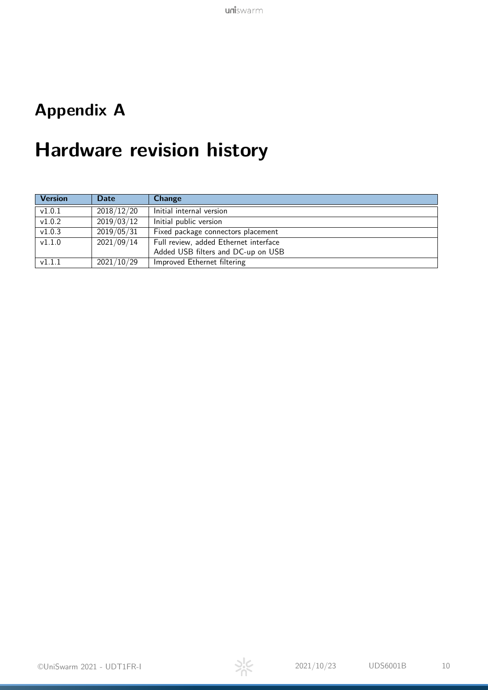## <span id="page-9-0"></span>**Appendix A**

# **Hardware revision history**

| <b>Version</b>      | <b>Date</b> | <b>Change</b>                         |  |
|---------------------|-------------|---------------------------------------|--|
| $\overline{v1.0.1}$ | 2018/12/20  | Initial internal version              |  |
| $\overline{v1.0.2}$ | 2019/03/12  | Initial public version                |  |
| v1.0.3              | 2019/05/31  | Fixed package connectors placement    |  |
| $\overline{v1.1.0}$ | 2021/09/14  | Full review, added Ethernet interface |  |
|                     |             | Added USB filters and DC-up on USB    |  |
| v1.1.1              | 2021/10/29  | Improved Ethernet filtering           |  |